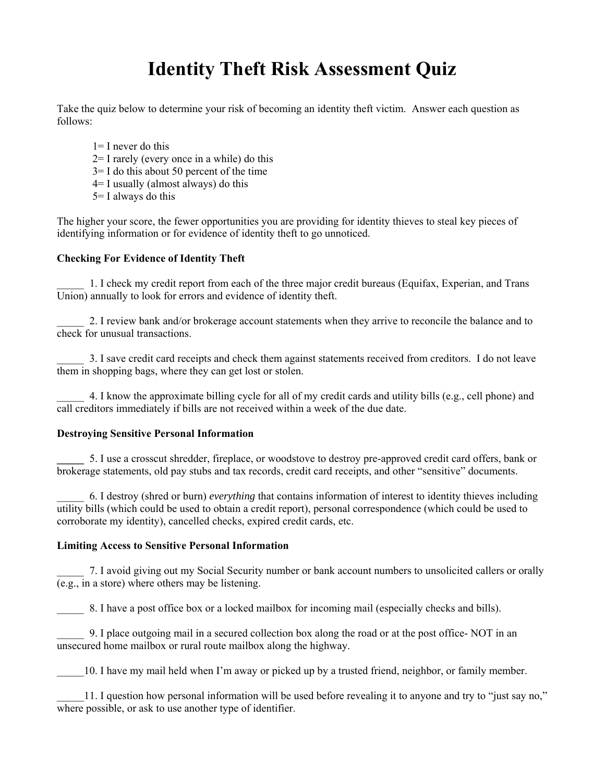# **Identity Theft Risk Assessment Quiz**

Take the quiz below to determine your risk of becoming an identity theft victim. Answer each question as follows:

 $1=$  I never do this 2= I rarely (every once in a while) do this  $3=$  I do this about 50 percent of the time  $4=$  I usually (almost always) do this 5= I always do this

The higher your score, the fewer opportunities you are providing for identity thieves to steal key pieces of identifying information or for evidence of identity theft to go unnoticed.

## **Checking For Evidence of Identity Theft**

\_\_\_\_\_ 1. I check my credit report from each of the three major credit bureaus (Equifax, Experian, and Trans Union) annually to look for errors and evidence of identity theft.

\_\_\_\_\_ 2. I review bank and/or brokerage account statements when they arrive to reconcile the balance and to check for unusual transactions.

\_\_\_\_\_ 3. I save credit card receipts and check them against statements received from creditors. I do not leave them in shopping bags, where they can get lost or stolen.

\_\_\_\_\_ 4. I know the approximate billing cycle for all of my credit cards and utility bills (e.g., cell phone) and call creditors immediately if bills are not received within a week of the due date.

## **Destroying Sensitive Personal Information**

**\_\_\_\_\_** 5. I use a crosscut shredder, fireplace, or woodstove to destroy pre-approved credit card offers, bank or brokerage statements, old pay stubs and tax records, credit card receipts, and other "sensitive" documents.

\_\_\_\_\_ 6. I destroy (shred or burn) *everything* that contains information of interest to identity thieves including utility bills (which could be used to obtain a credit report), personal correspondence (which could be used to corroborate my identity), cancelled checks, expired credit cards, etc.

## **Limiting Access to Sensitive Personal Information**

\_\_\_\_\_ 7. I avoid giving out my Social Security number or bank account numbers to unsolicited callers or orally (e.g., in a store) where others may be listening.

8. I have a post office box or a locked mailbox for incoming mail (especially checks and bills).

\_\_\_\_\_ 9. I place outgoing mail in a secured collection box along the road or at the post office- NOT in an unsecured home mailbox or rural route mailbox along the highway.

\_\_\_\_\_10. I have my mail held when I'm away or picked up by a trusted friend, neighbor, or family member.

\_\_\_\_\_11. I question how personal information will be used before revealing it to anyone and try to "just say no," where possible, or ask to use another type of identifier.